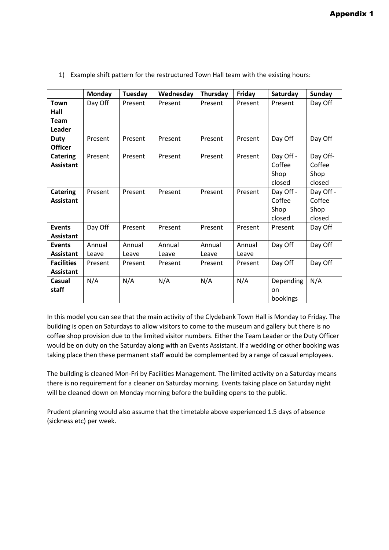|                                       | Monday          | Tuesday         | Wednesday       | Thursday        | Friday          | Saturday                              | <b>Sunday</b>                         |
|---------------------------------------|-----------------|-----------------|-----------------|-----------------|-----------------|---------------------------------------|---------------------------------------|
| Town<br>Hall<br><b>Team</b><br>Leader | Day Off         | Present         | Present         | Present         | Present         | Present                               | Day Off                               |
| <b>Duty</b><br><b>Officer</b>         | Present         | Present         | Present         | Present         | Present         | Day Off                               | Day Off                               |
| <b>Catering</b><br><b>Assistant</b>   | Present         | Present         | Present         | Present         | Present         | Day Off -<br>Coffee<br>Shop<br>closed | Day Off-<br>Coffee<br>Shop<br>closed  |
| <b>Catering</b><br><b>Assistant</b>   | Present         | Present         | Present         | Present         | Present         | Day Off -<br>Coffee<br>Shop<br>closed | Day Off -<br>Coffee<br>Shop<br>closed |
| <b>Events</b><br><b>Assistant</b>     | Day Off         | Present         | Present         | Present         | Present         | Present                               | Day Off                               |
| <b>Events</b><br><b>Assistant</b>     | Annual<br>Leave | Annual<br>Leave | Annual<br>Leave | Annual<br>Leave | Annual<br>Leave | Day Off                               | Day Off                               |
| <b>Facilities</b><br><b>Assistant</b> | Present         | Present         | Present         | Present         | Present         | Day Off                               | Day Off                               |
| Casual<br>staff                       | N/A             | N/A             | N/A             | N/A             | N/A             | Depending<br>on<br>bookings           | N/A                                   |

1) Example shift pattern for the restructured Town Hall team with the existing hours:

In this model you can see that the main activity of the Clydebank Town Hall is Monday to Friday. The building is open on Saturdays to allow visitors to come to the museum and gallery but there is no coffee shop provision due to the limited visitor numbers. Either the Team Leader or the Duty Officer would be on duty on the Saturday along with an Events Assistant. If a wedding or other booking was taking place then these permanent staff would be complemented by a range of casual employees.

The building is cleaned Mon-Fri by Facilities Management. The limited activity on a Saturday means there is no requirement for a cleaner on Saturday morning. Events taking place on Saturday night will be cleaned down on Monday morning before the building opens to the public.

Prudent planning would also assume that the timetable above experienced 1.5 days of absence (sickness etc) per week.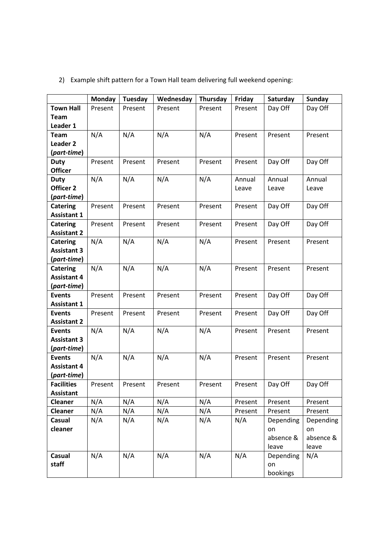|                    | <b>Monday</b> | Tuesday | Wednesday | Thursday | Friday  | Saturday  | <b>Sunday</b> |
|--------------------|---------------|---------|-----------|----------|---------|-----------|---------------|
| <b>Town Hall</b>   | Present       | Present | Present   | Present  | Present | Day Off   | Day Off       |
| <b>Team</b>        |               |         |           |          |         |           |               |
| Leader 1           |               |         |           |          |         |           |               |
| <b>Team</b>        | N/A           | N/A     | N/A       | N/A      | Present | Present   | Present       |
| <b>Leader 2</b>    |               |         |           |          |         |           |               |
| (part-time)        |               |         |           |          |         |           |               |
| <b>Duty</b>        | Present       | Present | Present   | Present  | Present | Day Off   | Day Off       |
| <b>Officer</b>     |               |         |           |          |         |           |               |
| <b>Duty</b>        | N/A           | N/A     | N/A       | N/A      | Annual  | Annual    | Annual        |
| Officer 2          |               |         |           |          | Leave   | Leave     | Leave         |
| (part-time)        |               |         |           |          |         |           |               |
| <b>Catering</b>    | Present       | Present | Present   | Present  | Present | Day Off   | Day Off       |
| <b>Assistant 1</b> |               |         |           |          |         |           |               |
| <b>Catering</b>    | Present       | Present | Present   | Present  | Present | Day Off   | Day Off       |
| <b>Assistant 2</b> |               |         |           |          |         |           |               |
| <b>Catering</b>    | N/A           | N/A     | N/A       | N/A      | Present | Present   | Present       |
| <b>Assistant 3</b> |               |         |           |          |         |           |               |
| (part-time)        |               |         |           |          |         |           |               |
| <b>Catering</b>    | N/A           | N/A     | N/A       | N/A      | Present | Present   | Present       |
| <b>Assistant 4</b> |               |         |           |          |         |           |               |
| (part-time)        |               |         |           |          |         |           |               |
| <b>Events</b>      | Present       | Present | Present   | Present  | Present | Day Off   | Day Off       |
| <b>Assistant 1</b> |               |         |           |          |         |           |               |
| <b>Events</b>      | Present       | Present | Present   | Present  | Present | Day Off   | Day Off       |
| <b>Assistant 2</b> |               |         |           |          |         |           |               |
| <b>Events</b>      | N/A           | N/A     | N/A       | N/A      | Present | Present   | Present       |
| <b>Assistant 3</b> |               |         |           |          |         |           |               |
| (part-time)        |               |         |           |          |         |           |               |
| <b>Events</b>      | N/A           | N/A     | N/A       | N/A      | Present | Present   | Present       |
| <b>Assistant 4</b> |               |         |           |          |         |           |               |
| (part-time)        |               |         |           |          |         |           |               |
| <b>Facilities</b>  | Present       | Present | Present   | Present  | Present | Day Off   | Day Off       |
| <b>Assistant</b>   |               |         |           |          |         |           |               |
| Cleaner            | N/A           | N/A     | N/A       | N/A      | Present | Present   | Present       |
| Cleaner            | N/A           | N/A     | N/A       | N/A      | Present | Present   | Present       |
| Casual             | N/A           | N/A     | N/A       | N/A      | N/A     | Depending | Depending     |
| cleaner            |               |         |           |          |         | on        | on            |
|                    |               |         |           |          |         | absence & | absence &     |
|                    |               |         |           |          |         | leave     | leave         |
| <b>Casual</b>      | N/A           | N/A     | N/A       | N/A      | N/A     | Depending | N/A           |
| staff              |               |         |           |          |         | on        |               |
|                    |               |         |           |          |         | bookings  |               |

## 2) Example shift pattern for a Town Hall team delivering full weekend opening: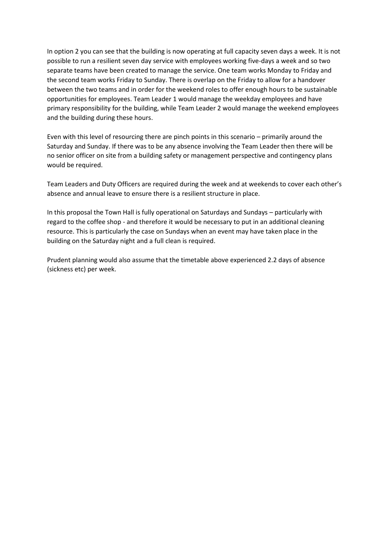In option 2 you can see that the building is now operating at full capacity seven days a week. It is not possible to run a resilient seven day service with employees working five-days a week and so two separate teams have been created to manage the service. One team works Monday to Friday and the second team works Friday to Sunday. There is overlap on the Friday to allow for a handover between the two teams and in order for the weekend roles to offer enough hours to be sustainable opportunities for employees. Team Leader 1 would manage the weekday employees and have primary responsibility for the building, while Team Leader 2 would manage the weekend employees and the building during these hours.

Even with this level of resourcing there are pinch points in this scenario – primarily around the Saturday and Sunday. If there was to be any absence involving the Team Leader then there will be no senior officer on site from a building safety or management perspective and contingency plans would be required.

Team Leaders and Duty Officers are required during the week and at weekends to cover each other's absence and annual leave to ensure there is a resilient structure in place.

In this proposal the Town Hall is fully operational on Saturdays and Sundays – particularly with regard to the coffee shop - and therefore it would be necessary to put in an additional cleaning resource. This is particularly the case on Sundays when an event may have taken place in the building on the Saturday night and a full clean is required.

Prudent planning would also assume that the timetable above experienced 2.2 days of absence (sickness etc) per week.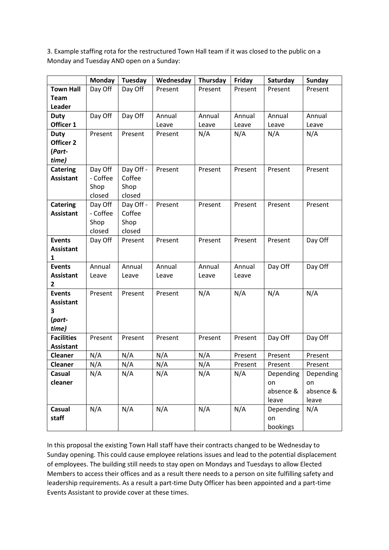3. Example staffing rota for the restructured Town Hall team if it was closed to the public on a Monday and Tuesday AND open on a Sunday:

|                   | <b>Monday</b> | Tuesday   | Wednesday | Thursday | Friday  | Saturday  | <b>Sunday</b> |
|-------------------|---------------|-----------|-----------|----------|---------|-----------|---------------|
| <b>Town Hall</b>  | Day Off       | Day Off   | Present   | Present  | Present | Present   | Present       |
| <b>Team</b>       |               |           |           |          |         |           |               |
| Leader            |               |           |           |          |         |           |               |
| <b>Duty</b>       | Day Off       | Day Off   | Annual    | Annual   | Annual  | Annual    | Annual        |
| Officer 1         |               |           | Leave     | Leave    | Leave   | Leave     | Leave         |
| <b>Duty</b>       | Present       | Present   | Present   | N/A      | N/A     | N/A       | N/A           |
| Officer 2         |               |           |           |          |         |           |               |
| (Part-            |               |           |           |          |         |           |               |
| time)             |               |           |           |          |         |           |               |
| <b>Catering</b>   | Day Off       | Day Off - | Present   | Present  | Present | Present   | Present       |
| <b>Assistant</b>  | - Coffee      | Coffee    |           |          |         |           |               |
|                   | Shop          | Shop      |           |          |         |           |               |
|                   | closed        | closed    |           |          |         |           |               |
| <b>Catering</b>   | Day Off       | Day Off - | Present   | Present  | Present | Present   | Present       |
| <b>Assistant</b>  | - Coffee      | Coffee    |           |          |         |           |               |
|                   | Shop          | Shop      |           |          |         |           |               |
|                   | closed        | closed    |           |          |         |           |               |
| <b>Events</b>     | Day Off       | Present   | Present   | Present  | Present | Present   | Day Off       |
| <b>Assistant</b>  |               |           |           |          |         |           |               |
| 1                 |               |           |           |          |         |           |               |
| <b>Events</b>     | Annual        | Annual    | Annual    | Annual   | Annual  | Day Off   | Day Off       |
| <b>Assistant</b>  | Leave         | Leave     | Leave     | Leave    | Leave   |           |               |
| $\mathbf{2}$      |               |           |           |          |         |           |               |
| <b>Events</b>     | Present       | Present   | Present   | N/A      | N/A     | N/A       | N/A           |
| <b>Assistant</b>  |               |           |           |          |         |           |               |
| 3                 |               |           |           |          |         |           |               |
| (part-<br>time)   |               |           |           |          |         |           |               |
| <b>Facilities</b> | Present       | Present   | Present   | Present  | Present | Day Off   | Day Off       |
| <b>Assistant</b>  |               |           |           |          |         |           |               |
| Cleaner           | N/A           | N/A       | N/A       | N/A      | Present | Present   | Present       |
| <b>Cleaner</b>    | N/A           | N/A       | N/A       | N/A      | Present | Present   | Present       |
| Casual            | N/A           | N/A       | N/A       | N/A      | N/A     | Depending | Depending     |
| cleaner           |               |           |           |          |         | on        | on            |
|                   |               |           |           |          |         | absence & | absence &     |
|                   |               |           |           |          |         | leave     | leave         |
| Casual            | N/A           | N/A       | N/A       | N/A      | N/A     | Depending | N/A           |
| staff             |               |           |           |          |         | on        |               |
|                   |               |           |           |          |         | bookings  |               |

In this proposal the existing Town Hall staff have their contracts changed to be Wednesday to Sunday opening. This could cause employee relations issues and lead to the potential displacement of employees. The building still needs to stay open on Mondays and Tuesdays to allow Elected Members to access their offices and as a result there needs to a person on site fulfilling safety and leadership requirements. As a result a part-time Duty Officer has been appointed and a part-time Events Assistant to provide cover at these times.